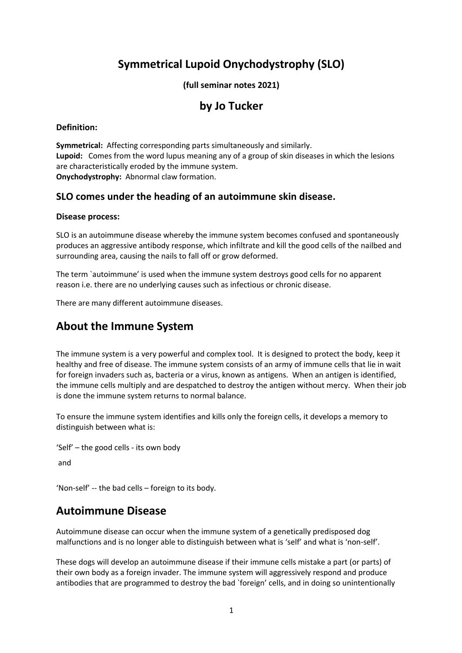# **Symmetrical Lupoid Onychodystrophy (SLO)**

# **(full seminar notes 2021)**

# **by Jo Tucker**

## **Definition:**

**Symmetrical:** Affecting corresponding parts simultaneously and similarly. **Lupoid:** Comes from the word lupus meaning any of a group of skin diseases in which the lesions are characteristically eroded by the immune system. **Onychodystrophy:** Abnormal claw formation.

# **SLO comes under the heading of an autoimmune skin disease.**

## **Disease process:**

SLO is an autoimmune disease whereby the immune system becomes confused and spontaneously produces an aggressive antibody response, which infiltrate and kill the good cells of the nailbed and surrounding area, causing the nails to fall off or grow deformed.

The term `autoimmune' is used when the immune system destroys good cells for no apparent reason i.e. there are no underlying causes such as infectious or chronic disease.

There are many different autoimmune diseases.

# **About the Immune System**

The immune system is a very powerful and complex tool. It is designed to protect the body, keep it healthy and free of disease. The immune system consists of an army of immune cells that lie in wait for foreign invaders such as, bacteria or a virus, known as antigens. When an antigen is identified, the immune cells multiply and are despatched to destroy the antigen without mercy. When their job is done the immune system returns to normal balance.

To ensure the immune system identifies and kills only the foreign cells, it develops a memory to distinguish between what is:

```
'Self' – the good cells - its own body 
and
```

```
'Non-self' -- the bad cells – foreign to its body.
```
# **Autoimmune Disease**

Autoimmune disease can occur when the immune system of a genetically predisposed dog malfunctions and is no longer able to distinguish between what is 'self' and what is 'non-self'.

These dogs will develop an autoimmune disease if their immune cells mistake a part (or parts) of their own body as a foreign invader. The immune system will aggressively respond and produce antibodies that are programmed to destroy the bad `foreign' cells, and in doing so unintentionally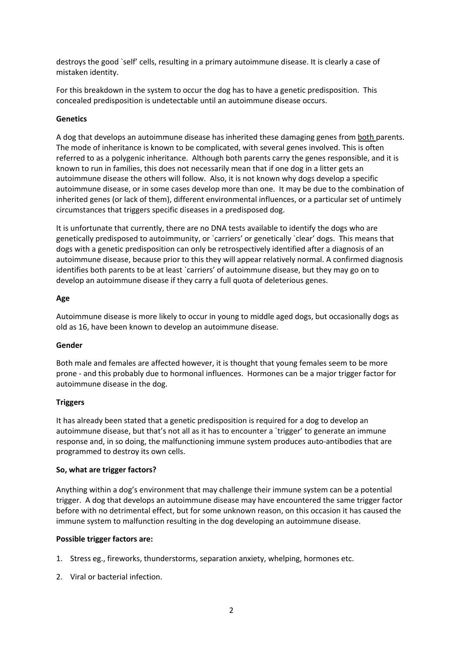destroys the good `self' cells, resulting in a primary autoimmune disease. It is clearly a case of mistaken identity.

For this breakdown in the system to occur the dog has to have a genetic predisposition. This concealed predisposition is undetectable until an autoimmune disease occurs.

### **Genetics**

A dog that develops an autoimmune disease has inherited these damaging genes from both parents. The mode of inheritance is known to be complicated, with several genes involved. This is often referred to as a polygenic inheritance. Although both parents carry the genes responsible, and it is known to run in families, this does not necessarily mean that if one dog in a litter gets an autoimmune disease the others will follow. Also, it is not known why dogs develop a specific autoimmune disease, or in some cases develop more than one. It may be due to the combination of inherited genes (or lack of them), different environmental influences, or a particular set of untimely circumstances that triggers specific diseases in a predisposed dog.

It is unfortunate that currently, there are no DNA tests available to identify the dogs who are genetically predisposed to autoimmunity, or `carriers' or genetically `clear' dogs. This means that dogs with a genetic predisposition can only be retrospectively identified after a diagnosis of an autoimmune disease, because prior to this they will appear relatively normal. A confirmed diagnosis identifies both parents to be at least `carriers' of autoimmune disease, but they may go on to develop an autoimmune disease if they carry a full quota of deleterious genes.

### **Age**

Autoimmune disease is more likely to occur in young to middle aged dogs, but occasionally dogs as old as 16, have been known to develop an autoimmune disease.

### **Gender**

Both male and females are affected however, it is thought that young females seem to be more prone - and this probably due to hormonal influences. Hormones can be a major trigger factor for autoimmune disease in the dog.

### **Triggers**

It has already been stated that a genetic predisposition is required for a dog to develop an autoimmune disease, but that's not all as it has to encounter a `trigger' to generate an immune response and, in so doing, the malfunctioning immune system produces auto-antibodies that are programmed to destroy its own cells.

### **So, what are trigger factors?**

Anything within a dog's environment that may challenge their immune system can be a potential trigger. A dog that develops an autoimmune disease may have encountered the same trigger factor before with no detrimental effect, but for some unknown reason, on this occasion it has caused the immune system to malfunction resulting in the dog developing an autoimmune disease.

### **Possible trigger factors are:**

- 1. Stress eg., fireworks, thunderstorms, separation anxiety, whelping, hormones etc.
- 2. Viral or bacterial infection.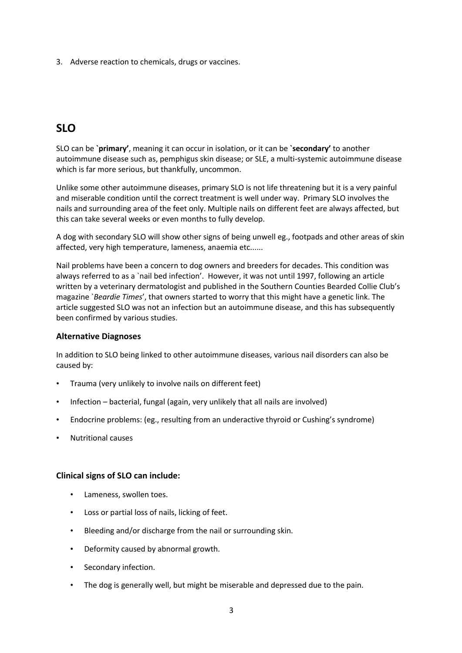3. Adverse reaction to chemicals, drugs or vaccines.

# **SLO**

SLO can be **`primary'**, meaning it can occur in isolation, or it can be **`secondary'** to another autoimmune disease such as, pemphigus skin disease; or SLE, a multi-systemic autoimmune disease which is far more serious, but thankfully, uncommon.

Unlike some other autoimmune diseases, primary SLO is not life threatening but it is a very painful and miserable condition until the correct treatment is well under way. Primary SLO involves the nails and surrounding area of the feet only. Multiple nails on different feet are always affected, but this can take several weeks or even months to fully develop.

A dog with secondary SLO will show other signs of being unwell eg., footpads and other areas of skin affected, very high temperature, lameness, anaemia etc......

Nail problems have been a concern to dog owners and breeders for decades. This condition was always referred to as a `nail bed infection'. However, it was not until 1997, following an article written by a veterinary dermatologist and published in the Southern Counties Bearded Collie Club's magazine `*Beardie Times*', that owners started to worry that this might have a genetic link. The article suggested SLO was not an infection but an autoimmune disease, and this has subsequently been confirmed by various studies.

# **Alternative Diagnoses**

In addition to SLO being linked to other autoimmune diseases, various nail disorders can also be caused by:

- Trauma (very unlikely to involve nails on different feet)
- Infection bacterial, fungal (again, very unlikely that all nails are involved)
- Endocrine problems: (eg., resulting from an underactive thyroid or Cushing's syndrome)
- Nutritional causes

# **Clinical signs of SLO can include:**

- Lameness, swollen toes.
- Loss or partial loss of nails, licking of feet.
- Bleeding and/or discharge from the nail or surrounding skin.
- Deformity caused by abnormal growth.
- Secondary infection.
- The dog is generally well, but might be miserable and depressed due to the pain.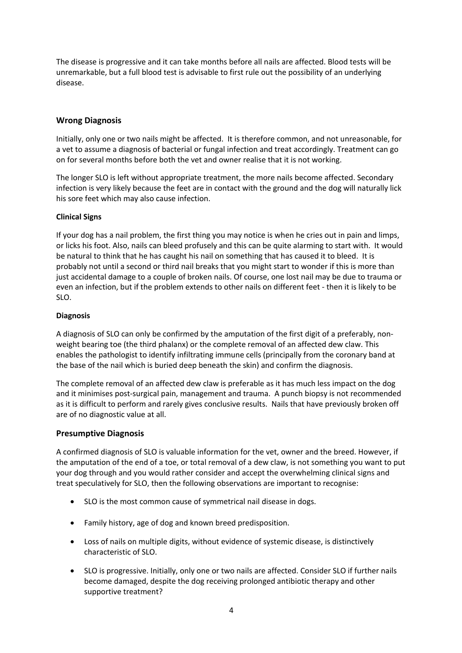The disease is progressive and it can take months before all nails are affected. Blood tests will be unremarkable, but a full blood test is advisable to first rule out the possibility of an underlying disease.

# **Wrong Diagnosis**

Initially, only one or two nails might be affected. It is therefore common, and not unreasonable, for a vet to assume a diagnosis of bacterial or fungal infection and treat accordingly. Treatment can go on for several months before both the vet and owner realise that it is not working.

The longer SLO is left without appropriate treatment, the more nails become affected. Secondary infection is very likely because the feet are in contact with the ground and the dog will naturally lick his sore feet which may also cause infection.

## **Clinical Signs**

If your dog has a nail problem, the first thing you may notice is when he cries out in pain and limps, or licks his foot. Also, nails can bleed profusely and this can be quite alarming to start with. It would be natural to think that he has caught his nail on something that has caused it to bleed. It is probably not until a second or third nail breaks that you might start to wonder if this is more than just accidental damage to a couple of broken nails. Of course, one lost nail may be due to trauma or even an infection, but if the problem extends to other nails on different feet - then it is likely to be SLO.

## **Diagnosis**

A diagnosis of SLO can only be confirmed by the amputation of the first digit of a preferably, nonweight bearing toe (the third phalanx) or the complete removal of an affected dew claw. This enables the pathologist to identify infiltrating immune cells (principally from the coronary band at the base of the nail which is buried deep beneath the skin) and confirm the diagnosis.

The complete removal of an affected dew claw is preferable as it has much less impact on the dog and it minimises post-surgical pain, management and trauma. A punch biopsy is not recommended as it is difficult to perform and rarely gives conclusive results. Nails that have previously broken off are of no diagnostic value at all.

# **Presumptive Diagnosis**

A confirmed diagnosis of SLO is valuable information for the vet, owner and the breed. However, if the amputation of the end of a toe, or total removal of a dew claw, is not something you want to put your dog through and you would rather consider and accept the overwhelming clinical signs and treat speculatively for SLO, then the following observations are important to recognise:

- SLO is the most common cause of symmetrical nail disease in dogs.
- Family history, age of dog and known breed predisposition.
- Loss of nails on multiple digits, without evidence of systemic disease, is distinctively characteristic of SLO.
- SLO is progressive. Initially, only one or two nails are affected. Consider SLO if further nails become damaged, despite the dog receiving prolonged antibiotic therapy and other supportive treatment?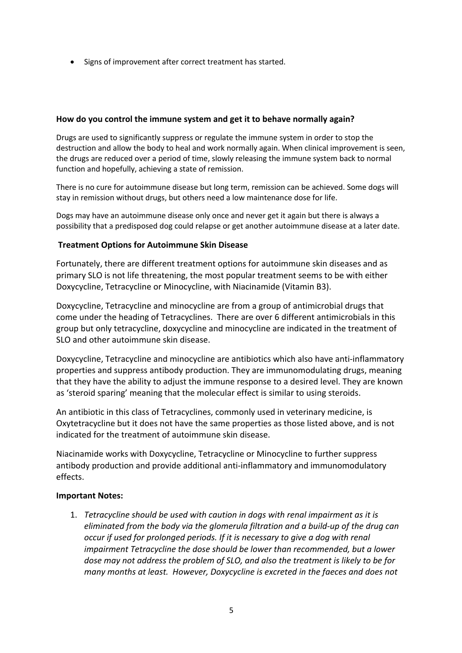• Signs of improvement after correct treatment has started.

# **How do you control the immune system and get it to behave normally again?**

Drugs are used to significantly suppress or regulate the immune system in order to stop the destruction and allow the body to heal and work normally again. When clinical improvement is seen, the drugs are reduced over a period of time, slowly releasing the immune system back to normal function and hopefully, achieving a state of remission.

There is no cure for autoimmune disease but long term, remission can be achieved. Some dogs will stay in remission without drugs, but others need a low maintenance dose for life.

Dogs may have an autoimmune disease only once and never get it again but there is always a possibility that a predisposed dog could relapse or get another autoimmune disease at a later date.

# **Treatment Options for Autoimmune Skin Disease**

Fortunately, there are different treatment options for autoimmune skin diseases and as primary SLO is not life threatening, the most popular treatment seems to be with either Doxycycline, Tetracycline or Minocycline, with Niacinamide (Vitamin B3).

Doxycycline, Tetracycline and minocycline are from a group of antimicrobial drugs that come under the heading of Tetracyclines. There are over 6 different antimicrobials in this group but only tetracycline, doxycycline and minocycline are indicated in the treatment of SLO and other autoimmune skin disease.

Doxycycline, Tetracycline and minocycline are antibiotics which also have anti-inflammatory properties and suppress antibody production. They are immunomodulating drugs, meaning that they have the ability to adjust the immune response to a desired level. They are known as 'steroid sparing' meaning that the molecular effect is similar to using steroids.

An antibiotic in this class of Tetracyclines, commonly used in veterinary medicine, is Oxytetracycline but it does not have the same properties as those listed above, and is not indicated for the treatment of autoimmune skin disease.

Niacinamide works with Doxycycline, Tetracycline or Minocycline to further suppress antibody production and provide additional anti-inflammatory and immunomodulatory effects.

# **Important Notes:**

1. *Tetracycline should be used with caution in dogs with renal impairment as it is eliminated from the body via the glomerula filtration and a build-up of the drug can occur if used for prolonged periods. If it is necessary to give a dog with renal impairment Tetracycline the dose should be lower than recommended, but a lower dose may not address the problem of SLO, and also the treatment is likely to be for many months at least. However, Doxycycline is excreted in the faeces and does not*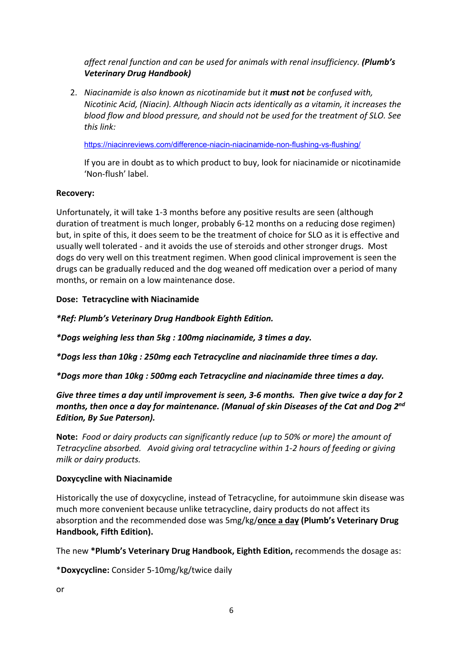*affect renal function and can be used for animals with renal insufficiency. (Plumb's Veterinary Drug Handbook)*

2. *Niacinamide is also known as nicotinamide but it must not be confused with, Nicotinic Acid, (Niacin). Although Niacin acts identically as a vitamin, it increases the blood flow and blood pressure, and should not be used for the treatment of SLO. See this link:*

https://niacinreviews.com/difference-niacin-niacinamide-non-flushing-vs-flushing/

If you are in doubt as to which product to buy, look for niacinamide or nicotinamide 'Non-flush' label.

# **Recovery:**

Unfortunately, it will take 1-3 months before any positive results are seen (although duration of treatment is much longer, probably 6-12 months on a reducing dose regimen) but, in spite of this, it does seem to be the treatment of choice for SLO as it is effective and usually well tolerated - and it avoids the use of steroids and other stronger drugs. Most dogs do very well on this treatment regimen. When good clinical improvement is seen the drugs can be gradually reduced and the dog weaned off medication over a period of many months, or remain on a low maintenance dose.

# **Dose: Tetracycline with Niacinamide**

*\*Ref: Plumb's Veterinary Drug Handbook Eighth Edition.*

*\*Dogs weighing less than 5kg : 100mg niacinamide, 3 times a day.*

*\*Dogs less than 10kg : 250mg each Tetracycline and niacinamide three times a day.*

*\*Dogs more than 10kg : 500mg each Tetracycline and niacinamide three times a day.*

*Give three times a day until improvement is seen, 3-6 months. Then give twice a day for 2 months, then once a day for maintenance. (Manual of skin Diseases of the Cat and Dog 2nd Edition, By Sue Paterson).*

**Note:** *Food or dairy products can significantly reduce (up to 50% or more) the amount of Tetracycline absorbed. Avoid giving oral tetracycline within 1-2 hours of feeding or giving milk or dairy products.*

# **Doxycycline with Niacinamide**

Historically the use of doxycycline, instead of Tetracycline, for autoimmune skin disease was much more convenient because unlike tetracycline, dairy products do not affect its absorption and the recommended dose was 5mg/kg/**once a day (Plumb's Veterinary Drug Handbook, Fifth Edition).** 

The new **\*Plumb's Veterinary Drug Handbook, Eighth Edition,** recommends the dosage as:

\***Doxycycline:** Consider 5-10mg/kg/twice daily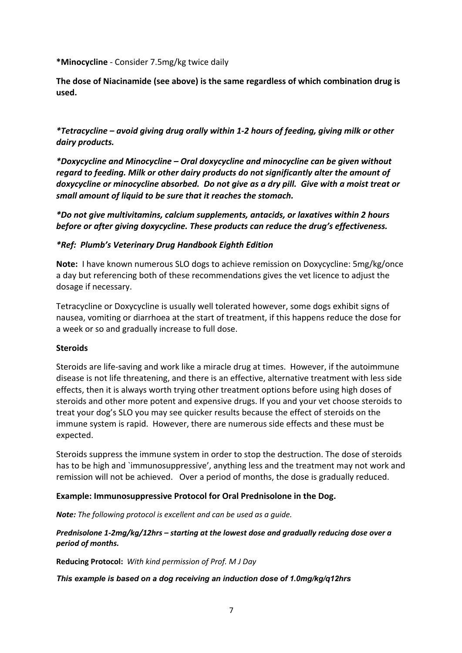**\*Minocycline** - Consider 7.5mg/kg twice daily

**The dose of Niacinamide (see above) is the same regardless of which combination drug is used.** 

*\*Tetracycline – avoid giving drug orally within 1-2 hours of feeding, giving milk or other dairy products.*

*\*Doxycycline and Minocycline – Oral doxycycline and minocycline can be given without regard to feeding. Milk or other dairy products do not significantly alter the amount of doxycycline or minocycline absorbed. Do not give as a dry pill. Give with a moist treat or small amount of liquid to be sure that it reaches the stomach.*

*\*Do not give multivitamins, calcium supplements, antacids, or laxatives within 2 hours before or after giving doxycycline. These products can reduce the drug's effectiveness.*

# *\*Ref: Plumb's Veterinary Drug Handbook Eighth Edition*

**Note:** I have known numerous SLO dogs to achieve remission on Doxycycline: 5mg/kg/once a day but referencing both of these recommendations gives the vet licence to adjust the dosage if necessary.

Tetracycline or Doxycycline is usually well tolerated however, some dogs exhibit signs of nausea, vomiting or diarrhoea at the start of treatment, if this happens reduce the dose for a week or so and gradually increase to full dose.

# **Steroids**

Steroids are life-saving and work like a miracle drug at times. However, if the autoimmune disease is not life threatening, and there is an effective, alternative treatment with less side effects, then it is always worth trying other treatment options before using high doses of steroids and other more potent and expensive drugs. If you and your vet choose steroids to treat your dog's SLO you may see quicker results because the effect of steroids on the immune system is rapid. However, there are numerous side effects and these must be expected.

Steroids suppress the immune system in order to stop the destruction. The dose of steroids has to be high and `immunosuppressive', anything less and the treatment may not work and remission will not be achieved. Over a period of months, the dose is gradually reduced.

# **Example: Immunosuppressive Protocol for Oral Prednisolone in the Dog.**

*Note: The following protocol is excellent and can be used as a guide.*

# *Prednisolone 1-2mg/kg/12hrs – starting at the lowest dose and gradually reducing dose over a period of months.*

**Reducing Protocol:** *With kind permission of Prof. M J Day*

# *This example is based on a dog receiving an induction dose of 1.0mg/kg/q12hrs*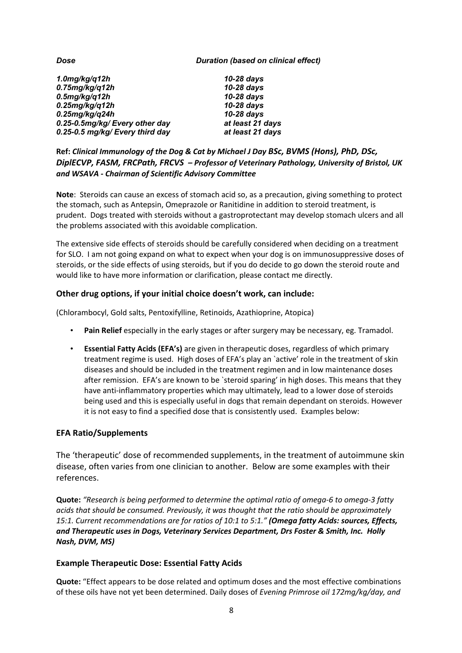#### *Dose Duration (based on clinical effect)*

| $1.0$ mg/kg/q12h                | $10-28$ days     |
|---------------------------------|------------------|
| $0.75$ mg/kg/q12h               | 10-28 days       |
| $0.5$ mg/kg/q12h                | 10-28 days       |
| $0.25$ mg/kg/q12h               | 10-28 days       |
| $0.25$ mg/kg/q24h               | 10-28 days       |
| 0.25-0.5mg/kg/ Every other day  | at least 21 days |
| 0.25-0.5 mg/kg/ Every third day | at least 21 days |

**Ref:** *Clinical Immunology of the Dog & Cat by Michael J Day BSc, BVMS (Hons), PhD, DSc, DiplECVP, FASM, FRCPath, FRCVS – Professor of Veterinary Pathology, University of Bristol, UK and WSAVA - Chairman of Scientific Advisory Committee*

**Note**: Steroids can cause an excess of stomach acid so, as a precaution, giving something to protect the stomach, such as Antepsin, Omeprazole or Ranitidine in addition to steroid treatment, is prudent. Dogs treated with steroids without a gastroprotectant may develop stomach ulcers and all the problems associated with this avoidable complication.

The extensive side effects of steroids should be carefully considered when deciding on a treatment for SLO. I am not going expand on what to expect when your dog is on immunosuppressive doses of steroids, or the side effects of using steroids, but if you do decide to go down the steroid route and would like to have more information or clarification, please contact me directly.

# **Other drug options, if your initial choice doesn't work, can include:**

(Chlorambocyl, Gold salts, Pentoxifylline, Retinoids, Azathioprine, Atopica)

- **Pain Relief** especially in the early stages or after surgery may be necessary, eg. Tramadol.
- **Essential Fatty Acids (EFA's)** are given in therapeutic doses, regardless of which primary treatment regime is used. High doses of EFA's play an `active' role in the treatment of skin diseases and should be included in the treatment regimen and in low maintenance doses after remission. EFA's are known to be `steroid sparing' in high doses. This means that they have anti-inflammatory properties which may ultimately, lead to a lower dose of steroids being used and this is especially useful in dogs that remain dependant on steroids. However it is not easy to find a specified dose that is consistently used. Examples below:

# **EFA Ratio/Supplements**

The 'therapeutic' dose of recommended supplements, in the treatment of autoimmune skin disease, often varies from one clinician to another. Below are some examples with their references.

**Quote:** *"Research is being performed to determine the optimal ratio of omega-6 to omega-3 fatty acids that should be consumed. Previously, it was thought that the ratio should be approximately 15:1. Current recommendations are for ratios of 10:1 to 5:1." (Omega fatty Acids: sources, Effects, and Therapeutic uses in Dogs, Veterinary Services Department, Drs Foster & Smith, Inc. Holly Nash, DVM, MS)*

### **Example Therapeutic Dose: Essential Fatty Acids**

**Quote:** "Effect appears to be dose related and optimum doses and the most effective combinations of these oils have not yet been determined. Daily doses of *Evening Primrose oil 172mg/kg/day, and*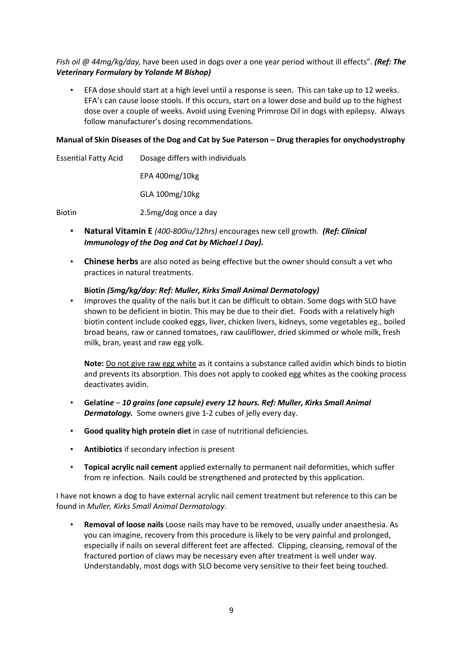# *Fish oil @ 44mg/kg/day,* have been used in dogs over a one year period without ill effects". *(Ref: The Veterinary Formulary by Yolande M Bishop)*

• EFA dose should start at a high level until a response is seen. This can take up to 12 weeks. EFA's can cause loose stools. If this occurs, start on a lower dose and build up to the highest dose over a couple of weeks. Avoid using Evening Primrose Oil in dogs with epilepsy. Always follow manufacturer's dosing recommendations.

## **Manual of Skin Diseases of the Dog and Cat by Sue Paterson – Drug therapies for onychodystrophy**

| <b>Essential Fatty Acid</b> | Dosage differs with individuals |
|-----------------------------|---------------------------------|
|                             | $EPA$ 400mg/10kg                |
|                             | GLA 100mg/10kg                  |
| <b>Biotin</b>               | 2.5 mg/dog once a day           |

- **Natural Vitamin E** *(400-800iu/12hrs)* encourages new cell growth. *(Ref: Clinical Immunology of the Dog and Cat by Michael J Day).*
- **Chinese herbs** are also noted as being effective but the owner should consult a vet who practices in natural treatments.

# **Biotin** *(5mg/kg/day: Ref: Muller, Kirks Small Animal Dermatology)*

• Improves the quality of the nails but it can be difficult to obtain. Some dogs with SLO have shown to be deficient in biotin. This may be due to their diet. Foods with a relatively high biotin content include cooked eggs, liver, chicken livers, kidneys, some vegetables eg., boiled broad beans, raw or canned tomatoes, raw cauliflower, dried skimmed or whole milk, fresh milk, bran, yeast and raw egg yolk.

**Note:** Do not give raw egg white as it contains a substance called avidin which binds to biotin and prevents its absorption. This does not apply to cooked egg whites as the cooking process deactivates avidin.

- **Gelatin***e – 10 grains (one capsule) every 12 hours. Ref: Muller, Kirks Small Animal Dermatology.* Some owners give 1-2 cubes of jelly every day.
- **Good quality high protein diet** in case of nutritional deficiencies.
- **Antibiotics** if secondary infection is present
- **Topical acrylic nail cement** applied externally to permanent nail deformities, which suffer from re infection. Nails could be strengthened and protected by this application.

I have not known a dog to have external acrylic nail cement treatment but reference to this can be found in *Muller, Kirks Small Animal Dermatology*.

• **Removal of loose nails** Loose nails may have to be removed, usually under anaesthesia. As you can imagine, recovery from this procedure is likely to be very painful and prolonged, especially if nails on several different feet are affected. Clipping, cleansing, removal of the fractured portion of claws may be necessary even after treatment is well under way. Understandably, most dogs with SLO become very sensitive to their feet being touched.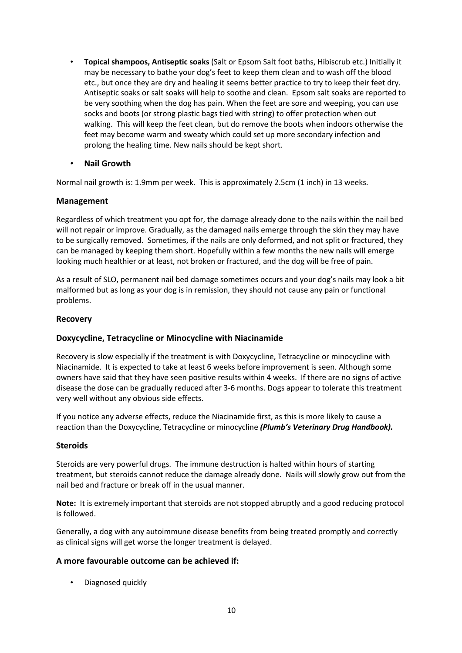- **Topical shampoos, Antiseptic soaks** (Salt or Epsom Salt foot baths, Hibiscrub etc.) Initially it may be necessary to bathe your dog's feet to keep them clean and to wash off the blood etc., but once they are dry and healing it seems better practice to try to keep their feet dry. Antiseptic soaks or salt soaks will help to soothe and clean. Epsom salt soaks are reported to be very soothing when the dog has pain. When the feet are sore and weeping, you can use socks and boots (or strong plastic bags tied with string) to offer protection when out walking. This will keep the feet clean, but do remove the boots when indoors otherwise the feet may become warm and sweaty which could set up more secondary infection and prolong the healing time. New nails should be kept short.
- **Nail Growth**

Normal nail growth is: 1.9mm per week. This is approximately 2.5cm (1 inch) in 13 weeks.

# **Management**

Regardless of which treatment you opt for, the damage already done to the nails within the nail bed will not repair or improve. Gradually, as the damaged nails emerge through the skin they may have to be surgically removed. Sometimes, if the nails are only deformed, and not split or fractured, they can be managed by keeping them short. Hopefully within a few months the new nails will emerge looking much healthier or at least, not broken or fractured, and the dog will be free of pain.

As a result of SLO, permanent nail bed damage sometimes occurs and your dog's nails may look a bit malformed but as long as your dog is in remission, they should not cause any pain or functional problems.

# **Recovery**

# **Doxycycline, Tetracycline or Minocycline with Niacinamide**

Recovery is slow especially if the treatment is with Doxycycline, Tetracycline or minocycline with Niacinamide. It is expected to take at least 6 weeks before improvement is seen. Although some owners have said that they have seen positive results within 4 weeks. If there are no signs of active disease the dose can be gradually reduced after 3-6 months. Dogs appear to tolerate this treatment very well without any obvious side effects.

If you notice any adverse effects, reduce the Niacinamide first, as this is more likely to cause a reaction than the Doxycycline, Tetracycline or minocycline *(Plumb's Veterinary Drug Handbook).*

# **Steroids**

Steroids are very powerful drugs. The immune destruction is halted within hours of starting treatment, but steroids cannot reduce the damage already done. Nails will slowly grow out from the nail bed and fracture or break off in the usual manner.

**Note:** It is extremely important that steroids are not stopped abruptly and a good reducing protocol is followed.

Generally, a dog with any autoimmune disease benefits from being treated promptly and correctly as clinical signs will get worse the longer treatment is delayed.

# **A more favourable outcome can be achieved if:**

• Diagnosed quickly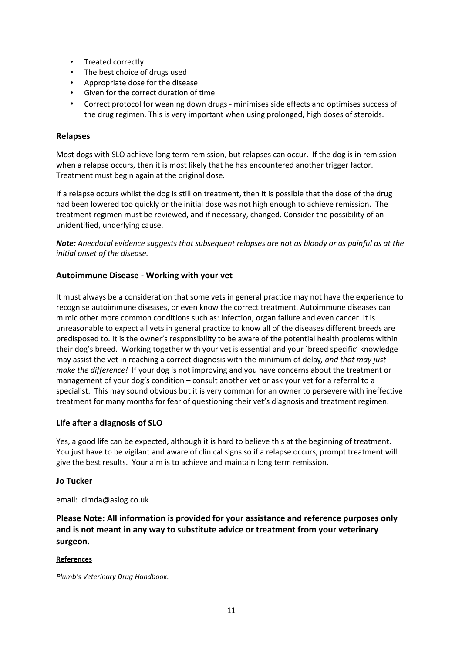- Treated correctly
- The best choice of drugs used
- Appropriate dose for the disease
- Given for the correct duration of time
- Correct protocol for weaning down drugs minimises side effects and optimises success of the drug regimen. This is very important when using prolonged, high doses of steroids.

## **Relapses**

Most dogs with SLO achieve long term remission, but relapses can occur. If the dog is in remission when a relapse occurs, then it is most likely that he has encountered another trigger factor. Treatment must begin again at the original dose.

If a relapse occurs whilst the dog is still on treatment, then it is possible that the dose of the drug had been lowered too quickly or the initial dose was not high enough to achieve remission. The treatment regimen must be reviewed, and if necessary, changed. Consider the possibility of an unidentified, underlying cause.

*Note: Anecdotal evidence suggests that subsequent relapses are not as bloody or as painful as at the initial onset of the disease.*

## **Autoimmune Disease - Working with your vet**

It must always be a consideration that some vets in general practice may not have the experience to recognise autoimmune diseases, or even know the correct treatment. Autoimmune diseases can mimic other more common conditions such as: infection, organ failure and even cancer. It is unreasonable to expect all vets in general practice to know all of the diseases different breeds are predisposed to. It is the owner's responsibility to be aware of the potential health problems within their dog's breed. Working together with your vet is essential and your `breed specific' knowledge may assist the vet in reaching a correct diagnosis with the minimum of delay*, and that may just make the difference!* If your dog is not improving and you have concerns about the treatment or management of your dog's condition – consult another vet or ask your vet for a referral to a specialist. This may sound obvious but it is very common for an owner to persevere with ineffective treatment for many months for fear of questioning their vet's diagnosis and treatment regimen.

### **Life after a diagnosis of SLO**

Yes, a good life can be expected, although it is hard to believe this at the beginning of treatment. You just have to be vigilant and aware of clinical signs so if a relapse occurs, prompt treatment will give the best results. Your aim is to achieve and maintain long term remission.

### **Jo Tucker**

email: cimda@aslog.co.uk

**Please Note: All information is provided for your assistance and reference purposes only and is not meant in any way to substitute advice or treatment from your veterinary surgeon.** 

### **References**

*Plumb's Veterinary Drug Handbook.*